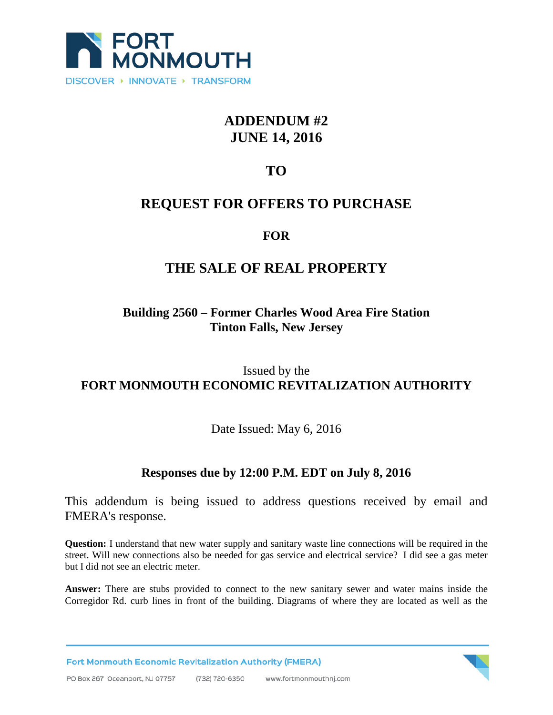

# **ADDENDUM #2 JUNE 14, 2016**

# **TO**

## **REQUEST FOR OFFERS TO PURCHASE**

#### **FOR**

## **THE SALE OF REAL PROPERTY**

### **Building 2560 – Former Charles Wood Area Fire Station Tinton Falls, New Jersey**

#### Issued by the **FORT MONMOUTH ECONOMIC REVITALIZATION AUTHORITY**

Date Issued: May 6, 2016

### **Responses due by 12:00 P.M. EDT on July 8, 2016**

This addendum is being issued to address questions received by email and FMERA's response.

**Question:** I understand that new water supply and sanitary waste line connections will be required in the street. Will new connections also be needed for gas service and electrical service? I did see a gas meter but I did not see an electric meter.

**Answer:** There are stubs provided to connect to the new sanitary sewer and water mains inside the Corregidor Rd. curb lines in front of the building. Diagrams of where they are located as well as the

**Fort Monmouth Economic Revitalization Authority (FMERA)**